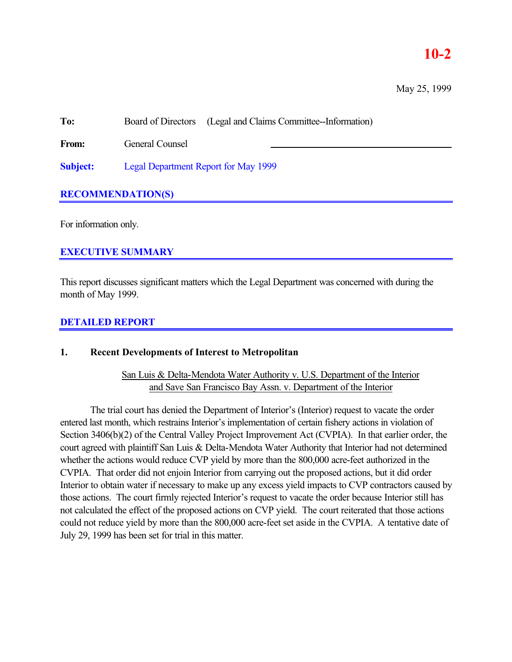# **10-2**

May 25, 1999

**To:** Board of Directors (Legal and Claims Committee--Information)

From: General Counsel

**Subject:** Legal Department Report for May 1999

# **RECOMMENDATION(S)**

For information only.

# **EXECUTIVE SUMMARY**

This report discusses significant matters which the Legal Department was concerned with during the month of May 1999.

### **DETAILED REPORT**

#### **1. Recent Developments of Interest to Metropolitan**

San Luis & Delta-Mendota Water Authority v. U.S. Department of the Interior and Save San Francisco Bay Assn. v. Department of the Interior

The trial court has denied the Department of Interior's (Interior) request to vacate the order entered last month, which restrains Interior's implementation of certain fishery actions in violation of Section 3406(b)(2) of the Central Valley Project Improvement Act (CVPIA). In that earlier order, the court agreed with plaintiff San Luis & Delta-Mendota Water Authority that Interior had not determined whether the actions would reduce CVP yield by more than the 800,000 acre-feet authorized in the CVPIA. That order did not enjoin Interior from carrying out the proposed actions, but it did order Interior to obtain water if necessary to make up any excess yield impacts to CVP contractors caused by those actions. The court firmly rejected Interior's request to vacate the order because Interior still has not calculated the effect of the proposed actions on CVP yield. The court reiterated that those actions could not reduce yield by more than the 800,000 acre-feet set aside in the CVPIA. A tentative date of July 29, 1999 has been set for trial in this matter.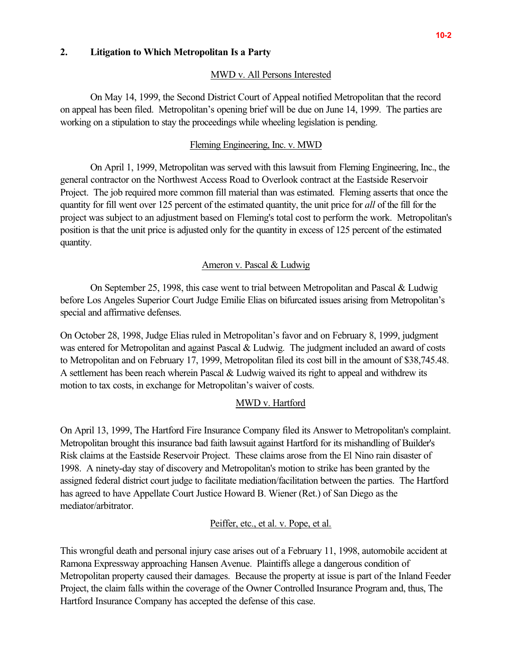#### **2. Litigation to Which Metropolitan Is a Party**

#### MWD v. All Persons Interested

On May 14, 1999, the Second District Court of Appeal notified Metropolitan that the record on appeal has been filed. Metropolitan's opening brief will be due on June 14, 1999. The parties are working on a stipulation to stay the proceedings while wheeling legislation is pending.

#### Fleming Engineering, Inc. v. MWD

On April 1, 1999, Metropolitan was served with this lawsuit from Fleming Engineering, Inc., the general contractor on the Northwest Access Road to Overlook contract at the Eastside Reservoir Project. The job required more common fill material than was estimated. Fleming asserts that once the quantity for fill went over 125 percent of the estimated quantity, the unit price for *all* of the fill for the project was subject to an adjustment based on Fleming's total cost to perform the work. Metropolitan's position is that the unit price is adjusted only for the quantity in excess of 125 percent of the estimated quantity.

#### Ameron v. Pascal & Ludwig

On September 25, 1998, this case went to trial between Metropolitan and Pascal & Ludwig before Los Angeles Superior Court Judge Emilie Elias on bifurcated issues arising from Metropolitan's special and affirmative defenses.

On October 28, 1998, Judge Elias ruled in Metropolitan's favor and on February 8, 1999, judgment was entered for Metropolitan and against Pascal & Ludwig. The judgment included an award of costs to Metropolitan and on February 17, 1999, Metropolitan filed its cost bill in the amount of \$38,745.48. A settlement has been reach wherein Pascal & Ludwig waived its right to appeal and withdrew its motion to tax costs, in exchange for Metropolitan's waiver of costs.

#### MWD v. Hartford

On April 13, 1999, The Hartford Fire Insurance Company filed its Answer to Metropolitan's complaint. Metropolitan brought this insurance bad faith lawsuit against Hartford for its mishandling of Builder's Risk claims at the Eastside Reservoir Project. These claims arose from the El Nino rain disaster of 1998. A ninety-day stay of discovery and Metropolitan's motion to strike has been granted by the assigned federal district court judge to facilitate mediation/facilitation between the parties. The Hartford has agreed to have Appellate Court Justice Howard B. Wiener (Ret.) of San Diego as the mediator/arbitrator.

Peiffer, etc., et al. v. Pope, et al.

This wrongful death and personal injury case arises out of a February 11, 1998, automobile accident at Ramona Expressway approaching Hansen Avenue. Plaintiffs allege a dangerous condition of Metropolitan property caused their damages. Because the property at issue is part of the Inland Feeder Project, the claim falls within the coverage of the Owner Controlled Insurance Program and, thus, The Hartford Insurance Company has accepted the defense of this case.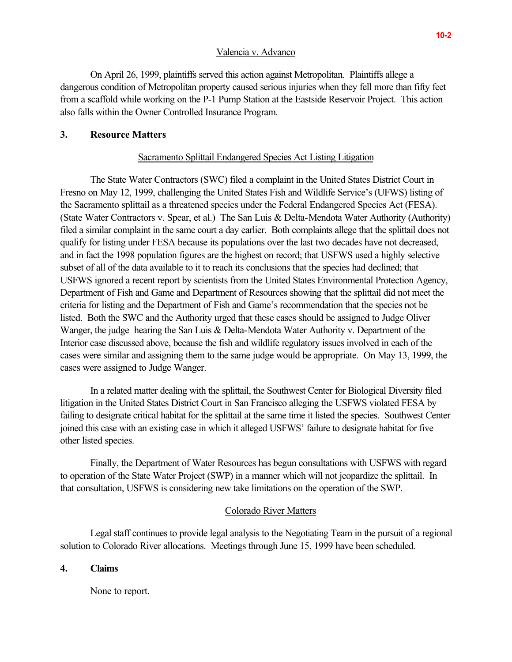#### Valencia v. Advanco

On April 26, 1999, plaintiffs served this action against Metropolitan. Plaintiffs allege a dangerous condition of Metropolitan property caused serious injuries when they fell more than fifty feet from a scaffold while working on the P-1 Pump Station at the Eastside Reservoir Project. This action also falls within the Owner Controlled Insurance Program.

## **3. Resource Matters**

### Sacramento Splittail Endangered Species Act Listing Litigation

The State Water Contractors (SWC) filed a complaint in the United States District Court in Fresno on May 12, 1999, challenging the United States Fish and Wildlife Service's (UFWS) listing of the Sacramento splittail as a threatened species under the Federal Endangered Species Act (FESA). (State Water Contractors v. Spear, et al.) The San Luis & Delta-Mendota Water Authority (Authority) filed a similar complaint in the same court a day earlier. Both complaints allege that the splittail does not qualify for listing under FESA because its populations over the last two decades have not decreased, and in fact the 1998 population figures are the highest on record; that USFWS used a highly selective subset of all of the data available to it to reach its conclusions that the species had declined; that USFWS ignored a recent report by scientists from the United States Environmental Protection Agency, Department of Fish and Game and Department of Resources showing that the splittail did not meet the criteria for listing and the Department of Fish and Game's recommendation that the species not be listed. Both the SWC and the Authority urged that these cases should be assigned to Judge Oliver Wanger, the judge hearing the San Luis & Delta-Mendota Water Authority v. Department of the Interior case discussed above, because the fish and wildlife regulatory issues involved in each of the cases were similar and assigning them to the same judge would be appropriate. On May 13, 1999, the cases were assigned to Judge Wanger.

In a related matter dealing with the splittail, the Southwest Center for Biological Diversity filed litigation in the United States District Court in San Francisco alleging the USFWS violated FESA by failing to designate critical habitat for the splittail at the same time it listed the species. Southwest Center joined this case with an existing case in which it alleged USFWS' failure to designate habitat for five other listed species.

Finally, the Department of Water Resources has begun consultations with USFWS with regard to operation of the State Water Project (SWP) in a manner which will not jeopardize the splittail. In that consultation, USFWS is considering new take limitations on the operation of the SWP.

#### Colorado River Matters

Legal staff continues to provide legal analysis to the Negotiating Team in the pursuit of a regional solution to Colorado River allocations. Meetings through June 15, 1999 have been scheduled.

#### **4. Claims**

None to report.